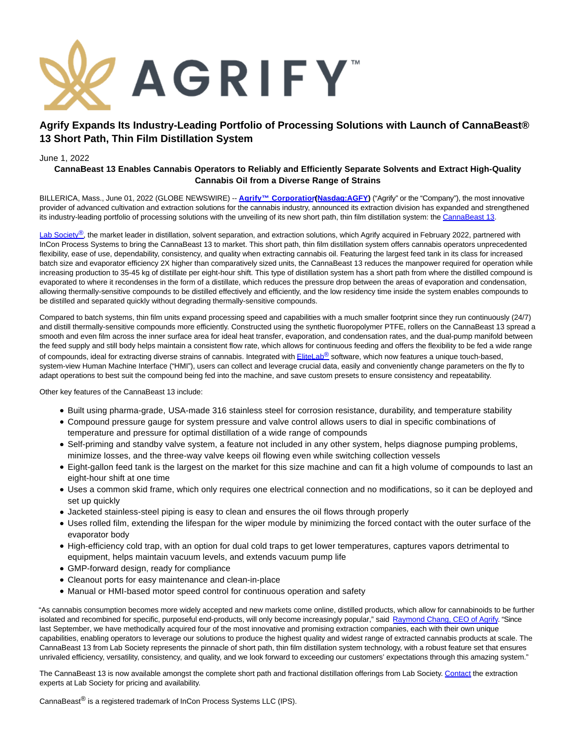

# **Agrify Expands Its Industry-Leading Portfolio of Processing Solutions with Launch of CannaBeast® 13 Short Path, Thin Film Distillation System**

### June 1, 2022

## **CannaBeast 13 Enables Cannabis Operators to Reliably and Efficiently Separate Solvents and Extract High-Quality Cannabis Oil from a Diverse Range of Strains**

BILLERICA, Mass., June 01, 2022 (GLOBE NEWSWIRE) -- **[Agrify™ Corporation](https://www.globenewswire.com/Tracker?data=NR6VhcGfiTB36Flr7t2WI2H881KK0viVtKBRrbEaTeJrEw6ZRsNhPRhKiDWGx6Tq2YaVVgvg_g7bRZVNva9VKI0E2IlsgsChava--KOO4DE=) Nasdaq:AGFY**) ("Agrify" or the "Company"), the most innovative provider of advanced cultivation and extraction solutions for the cannabis industry, announced its extraction division has expanded and strengthened its industry-leading portfolio of processing solutions with the unveiling of its new short path, thin film distillation system: the [CannaBeast 13.](https://www.globenewswire.com/Tracker?data=hEIBFedca10X2fMaiEKk9dcmPjiLxDoPo_mVae5h5N0t2UwE8x-AZhCUr-qHzTYi7B3TvMDrDFuevWu6QhxFBtxjSHLsgCJUrXNxeLSz_eD4GuA5Eg_ztU6hRXsRH-akN3CLMq8AtEkrst2E7jABSQ==)

[Lab Society](https://www.globenewswire.com/Tracker?data=h78pArxX407ezguueFExRJNgJKKcZ0JboOQO8kR9WwIh0u7isY4x0wtpBV8wmG3YCGsBOI9aO8CtkxeVzwOSOA==)<sup>®</sup>, the market leader in distillation, solvent separation, and extraction solutions, which Agrify acquired in February 2022, partnered with InCon Process Systems to bring the CannaBeast 13 to market. This short path, thin film distillation system offers cannabis operators unprecedented flexibility, ease of use, dependability, consistency, and quality when extracting cannabis oil. Featuring the largest feed tank in its class for increased batch size and evaporator efficiency 2X higher than comparatively sized units, the CannaBeast 13 reduces the manpower required for operation while increasing production to 35-45 kg of distillate per eight-hour shift. This type of distillation system has a short path from where the distilled compound is evaporated to where it recondenses in the form of a distillate, which reduces the pressure drop between the areas of evaporation and condensation, allowing thermally-sensitive compounds to be distilled effectively and efficiently, and the low residency time inside the system enables compounds to be distilled and separated quickly without degrading thermally-sensitive compounds.

Compared to batch systems, thin film units expand processing speed and capabilities with a much smaller footprint since they run continuously (24/7) and distill thermally-sensitive compounds more efficiently. Constructed using the synthetic fluoropolymer PTFE, rollers on the CannaBeast 13 spread a smooth and even film across the inner surface area for ideal heat transfer, evaporation, and condensation rates, and the dual-pump manifold between the feed supply and still body helps maintain a consistent flow rate, which allows for continuous feeding and offers the flexibility to be fed a wide range of compounds, ideal for extracting diverse strains of cannabis. Integrated with **EliteLab®** software, which now features a unique touch-based, system-view Human Machine Interface ("HMI"), users can collect and leverage crucial data, easily and conveniently change parameters on the fly to adapt operations to best suit the compound being fed into the machine, and save custom presets to ensure consistency and repeatability.

Other key features of the CannaBeast 13 include:

- Built using pharma-grade, USA-made 316 stainless steel for corrosion resistance, durability, and temperature stability
- Compound pressure gauge for system pressure and valve control allows users to dial in specific combinations of temperature and pressure for optimal distillation of a wide range of compounds
- Self-priming and standby valve system, a feature not included in any other system, helps diagnose pumping problems, minimize losses, and the three-way valve keeps oil flowing even while switching collection vessels
- Eight-gallon feed tank is the largest on the market for this size machine and can fit a high volume of compounds to last an eight-hour shift at one time
- Uses a common skid frame, which only requires one electrical connection and no modifications, so it can be deployed and set up quickly
- Jacketed stainless-steel piping is easy to clean and ensures the oil flows through properly
- Uses rolled film, extending the lifespan for the wiper module by minimizing the forced contact with the outer surface of the evaporator body
- High-efficiency cold trap, with an option for dual cold traps to get lower temperatures, captures vapors detrimental to equipment, helps maintain vacuum levels, and extends vacuum pump life
- GMP-forward design, ready for compliance
- Cleanout ports for easy maintenance and clean-in-place
- Manual or HMI-based motor speed control for continuous operation and safety

"As cannabis consumption becomes more widely accepted and new markets come online, distilled products, which allow for cannabinoids to be further isolated and recombined for specific, purposeful end-products, will only become increasingly popular," said [Raymond Chang, CEO of Agrify.](https://www.globenewswire.com/Tracker?data=z7ZZ-dnOzd_6U-2Kgh4lfxjJa7LXxpP1mZ_XGf5VVARDsgaAfb0A8gb9uLR50xWSVGSJ2khUa9aPiQtMORGZH9aoDU7NKDFwpNvw69pEzAfput9YzmyJDzVh6nccUXkP7bJJgMjCCjXU4ctPTTTItw==) "Since last September, we have methodically acquired four of the most innovative and promising extraction companies, each with their own unique capabilities, enabling operators to leverage our solutions to produce the highest quality and widest range of extracted cannabis products at scale. The CannaBeast 13 from Lab Society represents the pinnacle of short path, thin film distillation system technology, with a robust feature set that ensures unrivaled efficiency, versatility, consistency, and quality, and we look forward to exceeding our customers' expectations through this amazing system."

The CannaBeast 13 is now available amongst the complete short path and fractional distillation offerings from Lab Society[. Contact t](https://www.globenewswire.com/Tracker?data=8MzLnJzZGtdaYlXSJHReBk3bDwrtymLF4Z4nMqAr1GvYGgAW1gHuzB53a93MhiD2BunCmvS8j62PaxspT3tYKuKGA5G2t_azJ2PNahKsqIv96ryVSlN24xYOn1ocKWhEHGIsIiYu8OJLFmh15UHK_Q==)he extraction experts at Lab Society for pricing and availability.

CannaBeast® is a registered trademark of InCon Process Systems LLC (IPS).